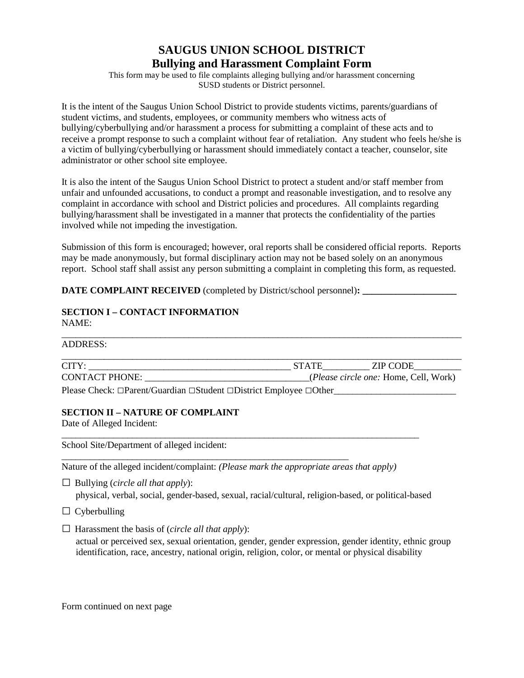# **SAUGUS UNION SCHOOL DISTRICT Bullying and Harassment Complaint Form**

This form may be used to file complaints alleging bullying and/or harassment concerning SUSD students or District personnel.

It is the intent of the Saugus Union School District to provide students victims, parents/guardians of student victims, and students, employees, or community members who witness acts of bullying/cyberbullying and/or harassment a process for submitting a complaint of these acts and to receive a prompt response to such a complaint without fear of retaliation. Any student who feels he/she is a victim of bullying/cyberbullying or harassment should immediately contact a teacher, counselor, site administrator or other school site employee.

It is also the intent of the Saugus Union School District to protect a student and/or staff member from unfair and unfounded accusations, to conduct a prompt and reasonable investigation, and to resolve any complaint in accordance with school and District policies and procedures. All complaints regarding bullying/harassment shall be investigated in a manner that protects the confidentiality of the parties involved while not impeding the investigation.

Submission of this form is encouraged; however, oral reports shall be considered official reports. Reports may be made anonymously, but formal disciplinary action may not be based solely on an anonymous report. School staff shall assist any person submitting a complaint in completing this form, as requested.

**DATE COMPLAINT RECEIVED** (completed by District/school personnel)**: \_\_\_\_\_\_\_\_\_\_\_\_\_\_\_\_\_\_\_\_** 

# **SECTION I – CONTACT INFORMATION**  NAME:

| ADDRESS:              |              |                                       |  |  |
|-----------------------|--------------|---------------------------------------|--|--|
| CITY:                 | <b>STATE</b> | ZIP CODE                              |  |  |
| <b>CONTACT PHONE:</b> |              | (Please circle one: Home, Cell, Work) |  |  |

Please Check: □Parent/Guardian □Student □District Employee □Other

\_\_\_\_\_\_\_\_\_\_\_\_\_\_\_\_\_\_\_\_\_\_\_\_\_\_\_\_\_\_\_\_\_\_\_\_\_\_\_\_\_\_\_\_\_\_\_\_\_\_\_\_\_\_\_\_\_\_\_\_\_

# **SECTION II – NATURE OF COMPLAINT**

Date of Alleged Incident:

School Site/Department of alleged incident:

Nature of the alleged incident/complaint: *(Please mark the appropriate areas that apply)*

\_\_\_\_\_\_\_\_\_\_\_\_\_\_\_\_\_\_\_\_\_\_\_\_\_\_\_\_\_\_\_\_\_\_\_\_\_\_\_\_\_\_\_\_\_\_\_\_\_\_\_\_\_\_\_\_\_\_\_\_\_\_\_\_\_\_\_\_\_\_\_\_\_\_\_\_

□ Bullying (*circle all that apply*):

physical, verbal, social, gender-based, sexual, racial/cultural, religion-based, or political-based

 $\Box$  Cyberbulling

□ Harassment the basis of (*circle all that apply*):

 actual or perceived sex, sexual orientation, gender, gender expression, gender identity, ethnic group identification, race, ancestry, national origin, religion, color, or mental or physical disability

Form continued on next page